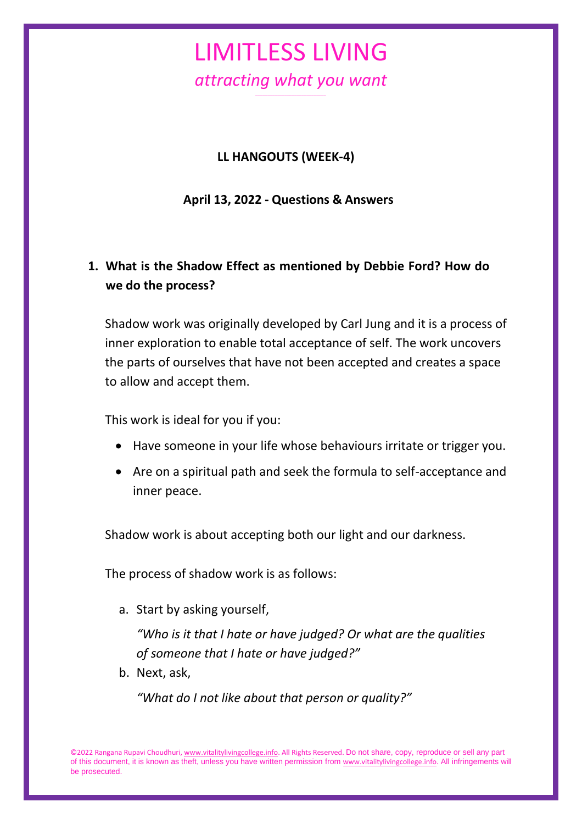#### **LL HANGOUTS (WEEK-4)**

**April 13, 2022 - Questions & Answers**

### **1. What is the Shadow Effect as mentioned by Debbie Ford? How do we do the process?**

Shadow work was originally developed by Carl Jung and it is a process of inner exploration to enable total acceptance of self. The work uncovers the parts of ourselves that have not been accepted and creates a space to allow and accept them.

This work is ideal for you if you:

- Have someone in your life whose behaviours irritate or trigger you.
- Are on a spiritual path and seek the formula to self-acceptance and inner peace.

Shadow work is about accepting both our light and our darkness.

The process of shadow work is as follows:

a. Start by asking yourself,

*"Who is it that I hate or have judged? Or what are the qualities of someone that I hate or have judged?"*

b. Next, ask,

*"What do I not like about that person or quality?"*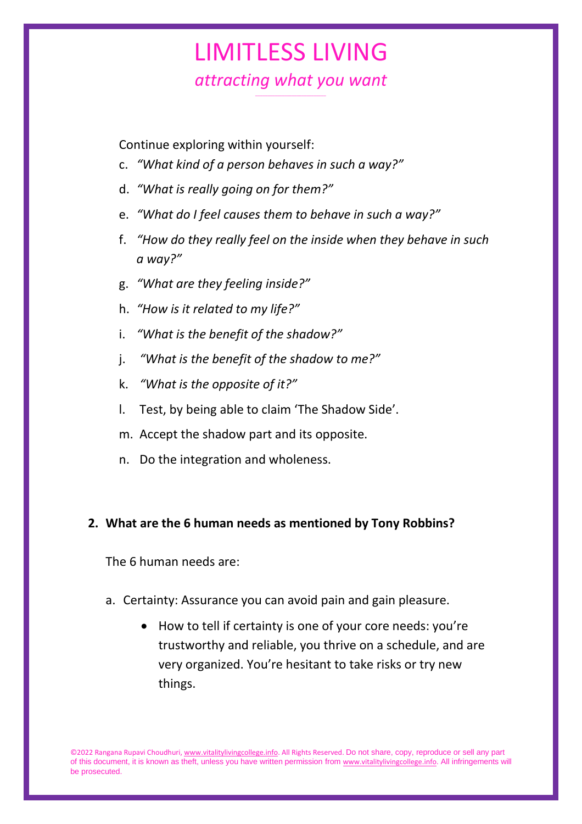## LIMITLESS LIVING *attracting what you want*

*\_\_\_\_\_\_\_\_\_\_\_\_\_\_\_\_\_\_\_\_\_\_\_\_\_\_\_\_\_*

Continue exploring within yourself:

- c. *"What kind of a person behaves in such a way?"*
- d. *"What is really going on for them?"*
- e. *"What do I feel causes them to behave in such a way?"*
- f. *"How do they really feel on the inside when they behave in such a way?"*
- g. *"What are they feeling inside?"*
- h. *"How is it related to my life?"*
- i. *"What is the benefit of the shadow?"*
- j. *"What is the benefit of the shadow to me?"*
- k. *"What is the opposite of it?"*
- l. Test, by being able to claim 'The Shadow Side'.
- m. Accept the shadow part and its opposite.
- n. Do the integration and wholeness.

#### **2. What are the 6 human needs as mentioned by Tony Robbins?**

The 6 human needs are:

- a. Certainty: Assurance you can avoid pain and gain pleasure.
	- How to tell if certainty is one of your core needs: you're trustworthy and reliable, you thrive on a schedule, and are very organized. You're hesitant to take risks or try new things.

©2022 Rangana Rupavi Choudhuri[, www.vitalitylivingcollege.info.](http://www.vitalitylivingcollege.info/) All Rights Reserved. Do not share, copy, reproduce or sell any part of this document, it is known as theft, unless you have written permission from [www.vitalitylivingcollege.info.](http://www.vitalitylivingcollege.info/) All infringements will be prosecuted.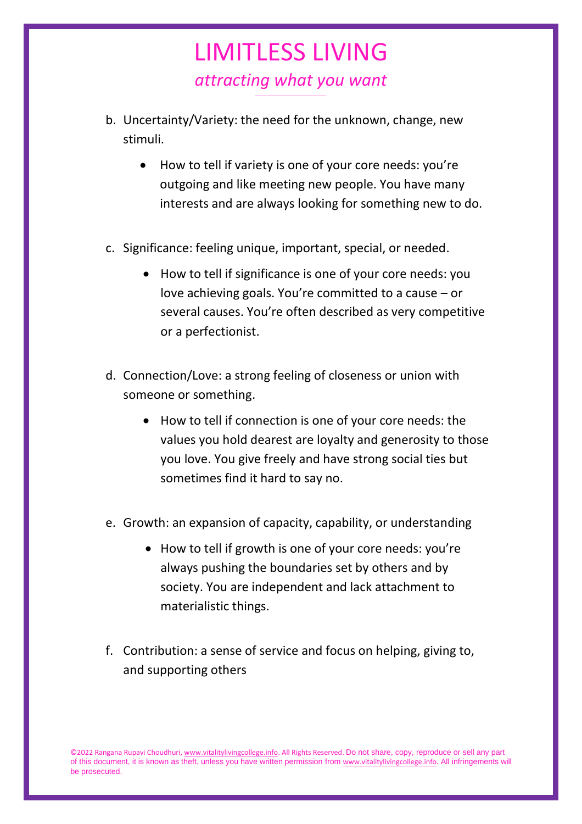- b. Uncertainty/Variety: the need for the unknown, change, new stimuli.
	- How to tell if variety is one of your core needs: you're outgoing and like meeting new people. You have many interests and are always looking for something new to do.
- c. Significance: feeling unique, important, special, or needed.
	- How to tell if significance is one of your core needs: you love achieving goals. You're committed to a cause – or several causes. You're often described as very competitive or a perfectionist.
- d. Connection/Love: a strong feeling of closeness or union with someone or something.
	- How to tell if connection is one of your core needs: the values you hold dearest are loyalty and generosity to those you love. You give freely and have strong social ties but sometimes find it hard to say no.
- e. Growth: an expansion of capacity, capability, or understanding
	- How to tell if growth is one of your core needs: you're always pushing the boundaries set by others and by society. You are independent and lack attachment to materialistic things.
- f. Contribution: a sense of service and focus on helping, giving to, and supporting others

<sup>©2022</sup> Rangana Rupavi Choudhuri[, www.vitalitylivingcollege.info.](http://www.vitalitylivingcollege.info/) All Rights Reserved. Do not share, copy, reproduce or sell any part of this document, it is known as theft, unless you have written permission from [www.vitalitylivingcollege.info.](http://www.vitalitylivingcollege.info/) All infringements will be prosecuted.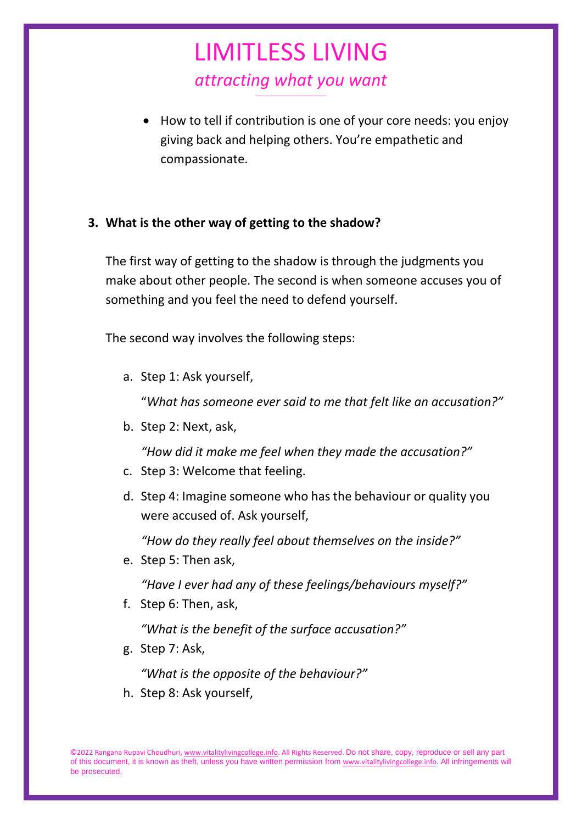• How to tell if contribution is one of your core needs: you enjoy giving back and helping others. You're empathetic and compassionate.

#### **3. What is the other way of getting to the shadow?**

The first way of getting to the shadow is through the judgments you make about other people. The second is when someone accuses you of something and you feel the need to defend yourself.

The second way involves the following steps:

a. Step 1: Ask yourself,

"*What has someone ever said to me that felt like an accusation?"*

b. Step 2: Next, ask,

*"How did it make me feel when they made the accusation?"*

- c. Step 3: Welcome that feeling.
- d. Step 4: Imagine someone who has the behaviour or quality you were accused of. Ask yourself,

*"How do they really feel about themselves on the inside?"*

e. Step 5: Then ask,

*"Have I ever had any of these feelings/behaviours myself?"*

f. Step 6: Then, ask,

*"What is the benefit of the surface accusation?"*

g. Step 7: Ask,

*"What is the opposite of the behaviour?"*

h. Step 8: Ask yourself,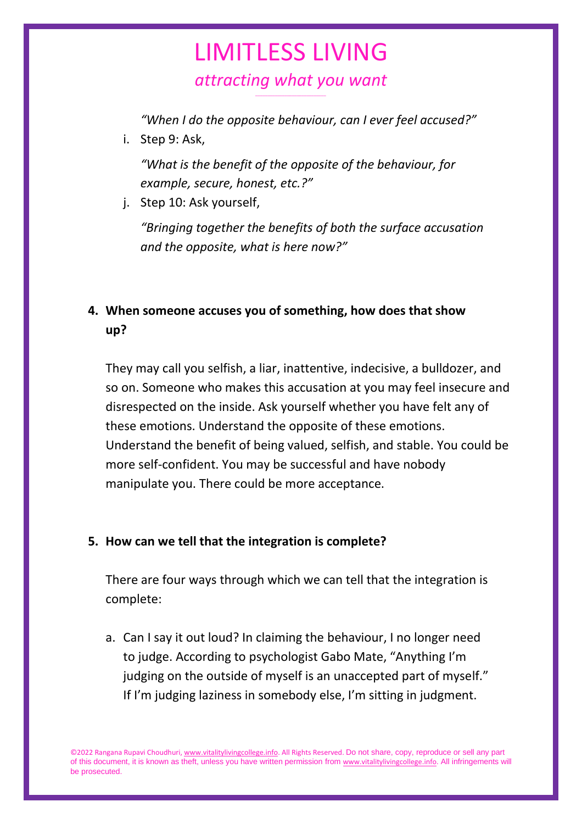# LIMITLESS LIVING *attracting what you want*

*\_\_\_\_\_\_\_\_\_\_\_\_\_\_\_\_\_\_\_\_\_\_\_\_\_\_\_\_\_*

*"When I do the opposite behaviour, can I ever feel accused?"*

i. Step 9: Ask,

*"What is the benefit of the opposite of the behaviour, for example, secure, honest, etc.?"*

j. Step 10: Ask yourself,

*"Bringing together the benefits of both the surface accusation and the opposite, what is here now?"*

### **4. When someone accuses you of something, how does that show up?**

They may call you selfish, a liar, inattentive, indecisive, a bulldozer, and so on. Someone who makes this accusation at you may feel insecure and disrespected on the inside. Ask yourself whether you have felt any of these emotions. Understand the opposite of these emotions. Understand the benefit of being valued, selfish, and stable. You could be more self-confident. You may be successful and have nobody manipulate you. There could be more acceptance.

#### **5. How can we tell that the integration is complete?**

There are four ways through which we can tell that the integration is complete:

a. Can I say it out loud? In claiming the behaviour, I no longer need to judge. According to psychologist Gabo Mate, "Anything I'm judging on the outside of myself is an unaccepted part of myself." If I'm judging laziness in somebody else, I'm sitting in judgment.

©2022 Rangana Rupavi Choudhuri[, www.vitalitylivingcollege.info.](http://www.vitalitylivingcollege.info/) All Rights Reserved. Do not share, copy, reproduce or sell any part of this document, it is known as theft, unless you have written permission from [www.vitalitylivingcollege.info.](http://www.vitalitylivingcollege.info/) All infringements will be prosecuted.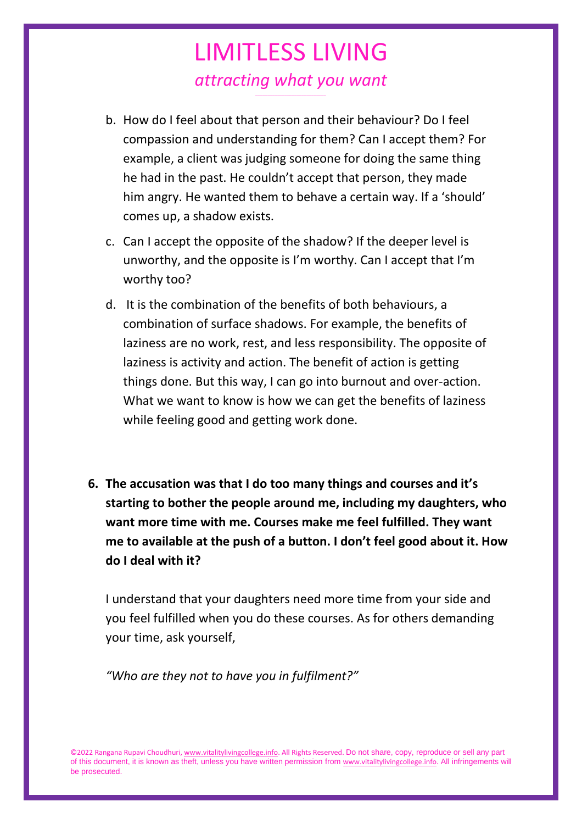- b. How do I feel about that person and their behaviour? Do I feel compassion and understanding for them? Can I accept them? For example, a client was judging someone for doing the same thing he had in the past. He couldn't accept that person, they made him angry. He wanted them to behave a certain way. If a 'should' comes up, a shadow exists.
- c. Can I accept the opposite of the shadow? If the deeper level is unworthy, and the opposite is I'm worthy. Can I accept that I'm worthy too?
- d. It is the combination of the benefits of both behaviours, a combination of surface shadows. For example, the benefits of laziness are no work, rest, and less responsibility. The opposite of laziness is activity and action. The benefit of action is getting things done. But this way, I can go into burnout and over-action. What we want to know is how we can get the benefits of laziness while feeling good and getting work done.
- **6. The accusation was that I do too many things and courses and it's starting to bother the people around me, including my daughters, who want more time with me. Courses make me feel fulfilled. They want me to available at the push of a button. I don't feel good about it. How do I deal with it?**

I understand that your daughters need more time from your side and you feel fulfilled when you do these courses. As for others demanding your time, ask yourself,

*"Who are they not to have you in fulfilment?"*